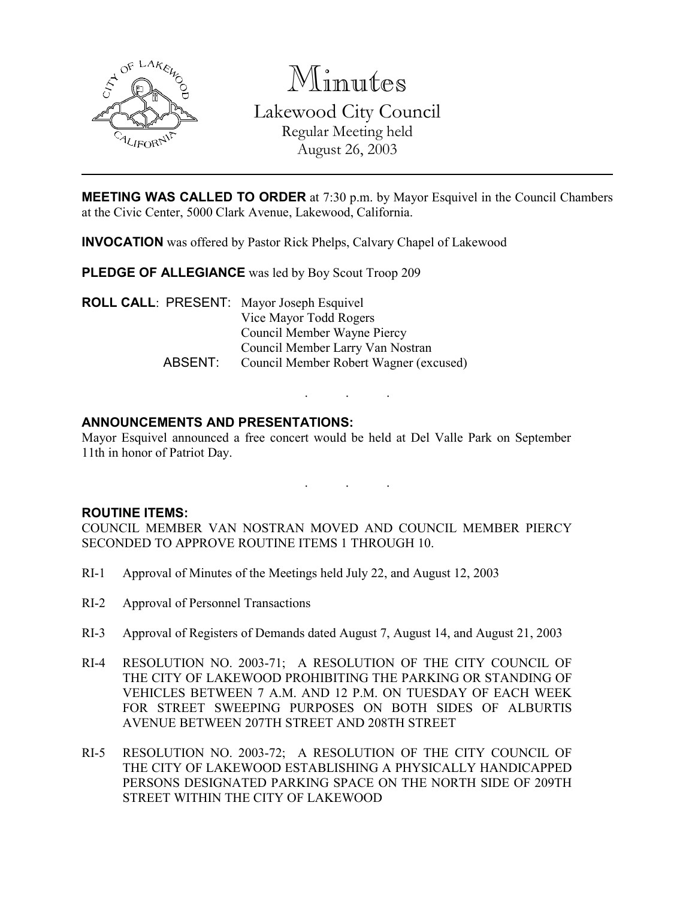

Minutes

Lakewood City Council Regular Meeting held August 26, 2003

**MEETING WAS CALLED TO ORDER** at 7:30 p.m. by Mayor Esquivel in the Council Chambers at the Civic Center, 5000 Clark Avenue, Lakewood, California.

INVOCATION was offered by Pastor Rick Phelps, Calvary Chapel of Lakewood

PLEDGE OF ALLEGIANCE was led by Boy Scout Troop 209

ROLL CALL: PRESENT: Mayor Joseph Esquivel Vice Mayor Todd Rogers Council Member Wayne Piercy Council Member Larry Van Nostran ABSENT: Council Member Robert Wagner (excused)

## ANNOUNCEMENTS AND PRESENTATIONS:

Mayor Esquivel announced a free concert would be held at Del Valle Park on September 11th in honor of Patriot Day.

. . .

. . .

### ROUTINE ITEMS:

COUNCIL MEMBER VAN NOSTRAN MOVED AND COUNCIL MEMBER PIERCY SECONDED TO APPROVE ROUTINE ITEMS 1 THROUGH 10.

- RI-1 Approval of Minutes of the Meetings held July 22, and August 12, 2003
- RI-2 Approval of Personnel Transactions
- RI-3 Approval of Registers of Demands dated August 7, August 14, and August 21, 2003
- RI-4 RESOLUTION NO. 2003-71; A RESOLUTION OF THE CITY COUNCIL OF THE CITY OF LAKEWOOD PROHIBITING THE PARKING OR STANDING OF VEHICLES BETWEEN 7 A.M. AND 12 P.M. ON TUESDAY OF EACH WEEK FOR STREET SWEEPING PURPOSES ON BOTH SIDES OF ALBURTIS AVENUE BETWEEN 207TH STREET AND 208TH STREET
- RI-5 RESOLUTION NO. 2003-72; A RESOLUTION OF THE CITY COUNCIL OF THE CITY OF LAKEWOOD ESTABLISHING A PHYSICALLY HANDICAPPED PERSONS DESIGNATED PARKING SPACE ON THE NORTH SIDE OF 209TH STREET WITHIN THE CITY OF LAKEWOOD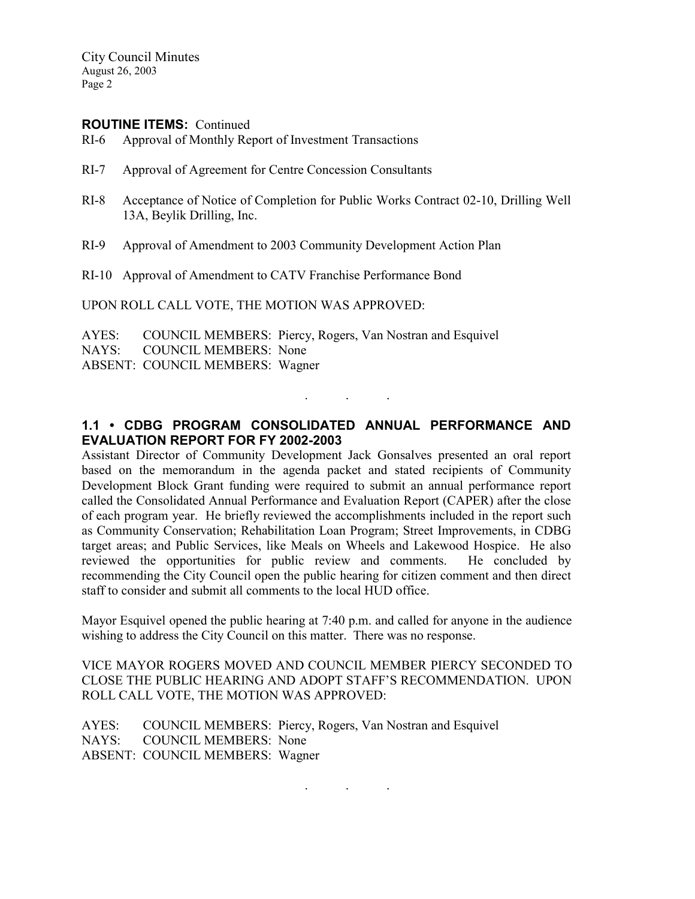City Council Minutes August 26, 2003 Page 2

#### ROUTINE ITEMS: Continued

- RI-6 Approval of Monthly Report of Investment Transactions
- RI-7 Approval of Agreement for Centre Concession Consultants
- RI-8 Acceptance of Notice of Completion for Public Works Contract 02-10, Drilling Well 13A, Beylik Drilling, Inc.
- RI-9 Approval of Amendment to 2003 Community Development Action Plan

RI-10 Approval of Amendment to CATV Franchise Performance Bond

UPON ROLL CALL VOTE, THE MOTION WAS APPROVED:

AYES: COUNCIL MEMBERS: Piercy, Rogers, Van Nostran and Esquivel NAYS: COUNCIL MEMBERS: None ABSENT: COUNCIL MEMBERS: Wagner

### 1.1 • CDBG PROGRAM CONSOLIDATED ANNUAL PERFORMANCE AND EVALUATION REPORT FOR FY 2002-2003

. . .

Assistant Director of Community Development Jack Gonsalves presented an oral report based on the memorandum in the agenda packet and stated recipients of Community Development Block Grant funding were required to submit an annual performance report called the Consolidated Annual Performance and Evaluation Report (CAPER) after the close of each program year. He briefly reviewed the accomplishments included in the report such as Community Conservation; Rehabilitation Loan Program; Street Improvements, in CDBG target areas; and Public Services, like Meals on Wheels and Lakewood Hospice. He also reviewed the opportunities for public review and comments. He concluded by recommending the City Council open the public hearing for citizen comment and then direct staff to consider and submit all comments to the local HUD office.

Mayor Esquivel opened the public hearing at 7:40 p.m. and called for anyone in the audience wishing to address the City Council on this matter. There was no response.

VICE MAYOR ROGERS MOVED AND COUNCIL MEMBER PIERCY SECONDED TO CLOSE THE PUBLIC HEARING AND ADOPT STAFF'S RECOMMENDATION. UPON ROLL CALL VOTE, THE MOTION WAS APPROVED:

. . .

AYES: COUNCIL MEMBERS: Piercy, Rogers, Van Nostran and Esquivel NAYS: COUNCIL MEMBERS: None ABSENT: COUNCIL MEMBERS: Wagner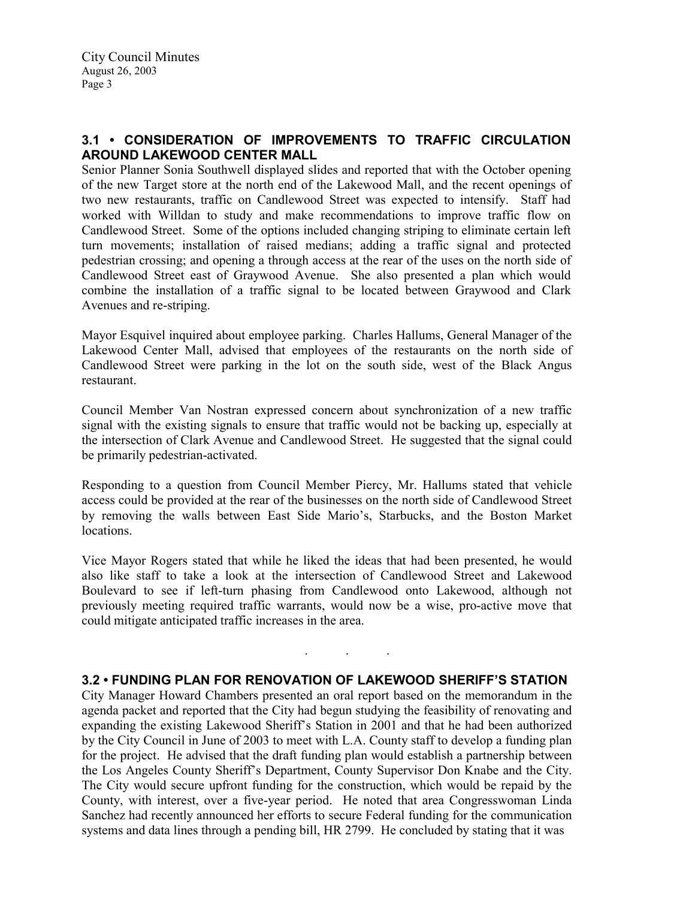# 3.1 • CONSIDERATION OF IMPROVEMENTS TO TRAFFIC CIRCULATION AROUND LAKEWOOD CENTER MALL

Senior Planner Sonia Southwell displayed slides and reported that with the October opening of the new Target store at the north end of the Lakewood Mall, and the recent openings of two new restaurants, traffic on Candlewood Street was expected to intensify. Staff had worked with Willdan to study and make recommendations to improve traffic flow on Candlewood Street. Some of the options included changing striping to eliminate certain left turn movements; installation of raised medians; adding a traffic signal and protected pedestrian crossing; and opening a through access at the rear of the uses on the north side of Candlewood Street east of Graywood Avenue. She also presented a plan which would combine the installation of a traffic signal to be located between Graywood and Clark Avenues and re-striping.

Mayor Esquivel inquired about employee parking. Charles Hallums, General Manager of the Lakewood Center Mall, advised that employees of the restaurants on the north side of Candlewood Street were parking in the lot on the south side, west of the Black Angus restaurant.

Council Member Van Nostran expressed concern about synchronization of a new traffic signal with the existing signals to ensure that traffic would not be backing up, especially at the intersection of Clark Avenue and Candlewood Street. He suggested that the signal could be primarily pedestrian-activated.

Responding to a question from Council Member Piercy, Mr. Hallums stated that vehicle access could be provided at the rear of the businesses on the north side of Candlewood Street by removing the walls between East Side Mario's, Starbucks, and the Boston Market locations.

Vice Mayor Rogers stated that while he liked the ideas that had been presented, he would also like staff to take a look at the intersection of Candlewood Street and Lakewood Boulevard to see if left-turn phasing from Candlewood onto Lakewood, although not previously meeting required traffic warrants, would now be a wise, pro-active move that could mitigate anticipated traffic increases in the area.

### 3.2 • FUNDING PLAN FOR RENOVATION OF LAKEWOOD SHERIFF'S STATION

. . .

City Manager Howard Chambers presented an oral report based on the memorandum in the agenda packet and reported that the City had begun studying the feasibility of renovating and expanding the existing Lakewood Sheriff's Station in 2001 and that he had been authorized by the City Council in June of 2003 to meet with L.A. County staff to develop a funding plan for the project. He advised that the draft funding plan would establish a partnership between the Los Angeles County Sheriff's Department, County Supervisor Don Knabe and the City. The City would secure upfront funding for the construction, which would be repaid by the County, with interest, over a five-year period. He noted that area Congresswoman Linda Sanchez had recently announced her efforts to secure Federal funding for the communication systems and data lines through a pending bill, HR 2799. He concluded by stating that it was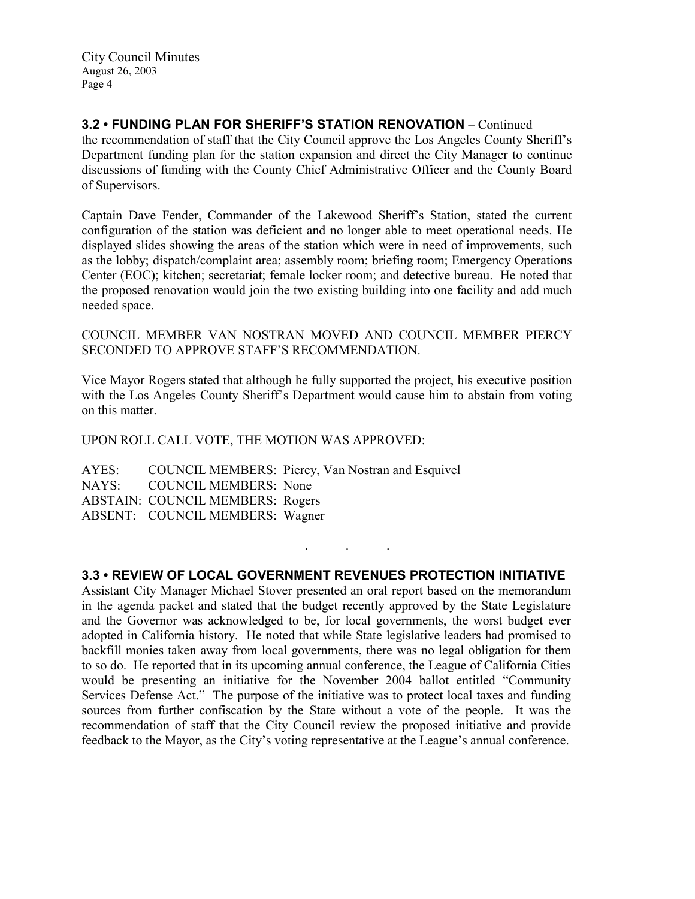City Council Minutes August 26, 2003 Page 4

# 3.2 • FUNDING PLAN FOR SHERIFF'S STATION RENOVATION – Continued

the recommendation of staff that the City Council approve the Los Angeles County Sheriff's Department funding plan for the station expansion and direct the City Manager to continue discussions of funding with the County Chief Administrative Officer and the County Board of Supervisors.

Captain Dave Fender, Commander of the Lakewood Sheriff's Station, stated the current configuration of the station was deficient and no longer able to meet operational needs. He displayed slides showing the areas of the station which were in need of improvements, such as the lobby; dispatch/complaint area; assembly room; briefing room; Emergency Operations Center (EOC); kitchen; secretariat; female locker room; and detective bureau. He noted that the proposed renovation would join the two existing building into one facility and add much needed space.

### COUNCIL MEMBER VAN NOSTRAN MOVED AND COUNCIL MEMBER PIERCY SECONDED TO APPROVE STAFF'S RECOMMENDATION.

Vice Mayor Rogers stated that although he fully supported the project, his executive position with the Los Angeles County Sheriff's Department would cause him to abstain from voting on this matter.

### UPON ROLL CALL VOTE, THE MOTION WAS APPROVED:

AYES: COUNCIL MEMBERS: Piercy, Van Nostran and Esquivel NAYS: COUNCIL MEMBERS: None ABSTAIN: COUNCIL MEMBERS: Rogers ABSENT: COUNCIL MEMBERS: Wagner

### 3.3 • REVIEW OF LOCAL GOVERNMENT REVENUES PROTECTION INITIATIVE

. . .

Assistant City Manager Michael Stover presented an oral report based on the memorandum in the agenda packet and stated that the budget recently approved by the State Legislature and the Governor was acknowledged to be, for local governments, the worst budget ever adopted in California history. He noted that while State legislative leaders had promised to backfill monies taken away from local governments, there was no legal obligation for them to so do. He reported that in its upcoming annual conference, the League of California Cities would be presenting an initiative for the November 2004 ballot entitled "Community Services Defense Act." The purpose of the initiative was to protect local taxes and funding sources from further confiscation by the State without a vote of the people. It was the recommendation of staff that the City Council review the proposed initiative and provide feedback to the Mayor, as the City's voting representative at the League's annual conference.